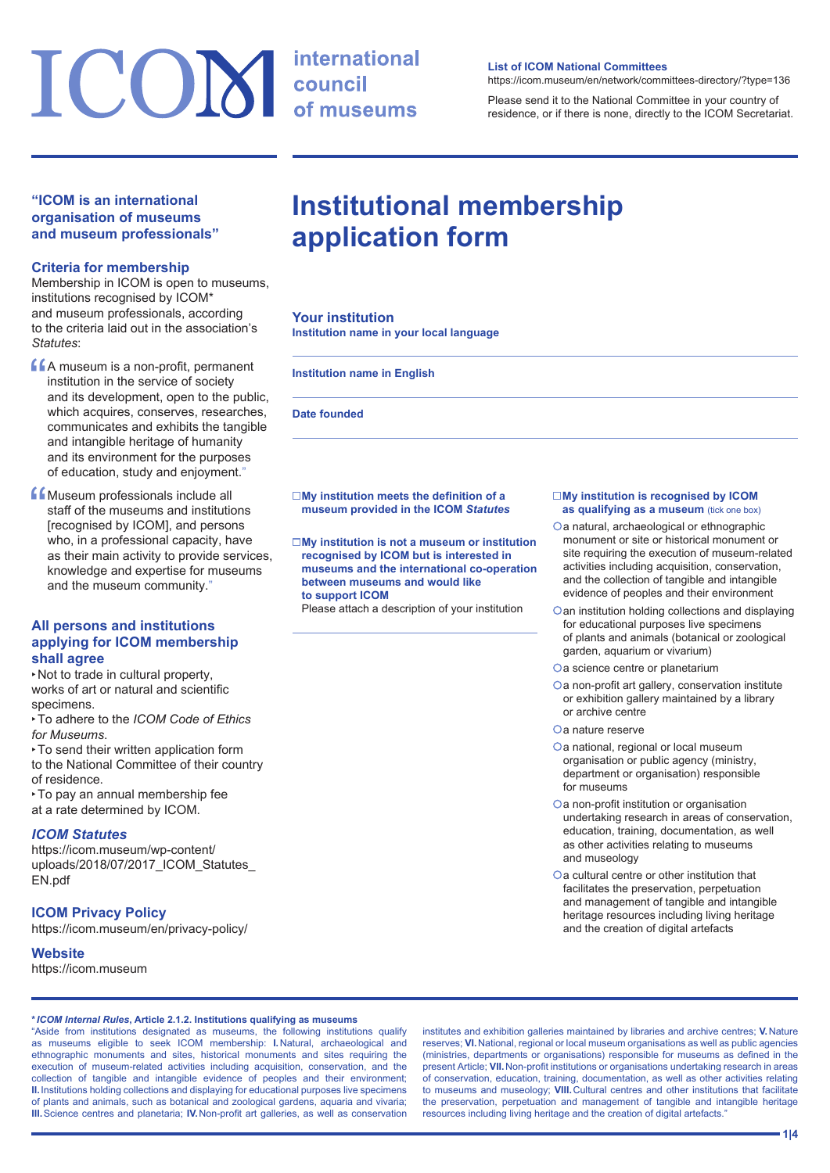# ICOM international

# **"ICOM is an international organisation of museums and museum professionals"**

## **Criteria for membership**

Membership in ICOM is open to museums, institutions recognised by ICOM\* and museum professionals, according to the criteria laid out in the association's *Statutes*:

- **CA** museum is a non-profit, permanent<br>
institution in the service of society<br>
and its development, open to the pub<br>
which services institution in the service of society and its development, open to the public, which acquires, conserves, researches, communicates and exhibits the tangible and intangible heritage of humanity and its environment for the purposes of education, study and enjoyment."
- **f** Museum professionals include all<br>staff of the museums and institution<br>[recognised by ICOM], and person staff of the museums and institutions [recognised by ICOM], and persons who, in a professional capacity, have as their main activity to provide services, knowledge and expertise for museums and the museum community."

# **All persons and institutions applying for ICOM membership shall agree**

‣Not to trade in cultural property, works of art or natural and scientific specimens.

- ‣To adhere to the *ICOM Code of Ethics for Museums*.
- ‣To send their written application form to the National Committee of their country of residence.
- ‣To pay an annual membership fee at a rate determined by ICOM.

# *ICOM Statutes*

[https://icom.museum/wp-content/](https://icom.museum/wp-content/uploads/2018/07/2017_ICOM_Statutes_EN.pdf) uploads/2018/07/2017 ICOM Statutes [EN.pdf](https://icom.museum/wp-content/uploads/2018/07/2017_ICOM_Statutes_EN.pdf)

# **ICOM Privacy Policy**

<https://icom.museum/en/privacy-policy/>

# **Website**

<https://icom.museum>

**\****ICOM Internal Rules***, Article 2.1.2. Institutions qualifying as museums**

"Aside from institutions designated as museums, the following institutions qualify as museums eligible to seek ICOM membership: **I.**Natural, archaeological and ethnographic monuments and sites, historical monuments and sites requiring the execution of museum-related activities including acquisition, conservation, and the collection of tangible and intangible evidence of peoples and their environment; **II.**Institutions holding collections and displaying for educational purposes live specimens of plants and animals, such as botanical and zoological gardens, aquaria and vivaria; **III.**Science centres and planetaria; **IV.**Non-profit art galleries, as well as conservation

institutes and exhibition galleries maintained by libraries and archive centres; **V.**Nature reserves; **VI.**National, regional or local museum organisations as well as public agencies (ministries, departments or organisations) responsible for museums as defined in the present Article; **VII.**Non-profit institutions or organisations undertaking research in areas of conservation, education, training, documentation, as well as other activities relating to museums and museology; **VIII.**Cultural centres and other institutions that facilitate the preservation, perpetuation and management of tangible and intangible heritage resources including living heritage and the creation of digital artefacts."

#### **List of ICOM National Committees**

<https://icom.museum/en/network/committees-directory/?type=136>

Please send it to the National Committee in your country of residence, or if there is none, directly to the ICOM Secretariat.

# **Institutional membership application form**

## **Your institution**

**Institution name in your local language**

#### **Institution name in English**

#### **Date founded**

#### **My institution meets the definition of a museum provided in the ICOM** *Statutes*

 **My institution is not a museum or institution recognised by ICOM but is interested in museums and the international co‑operation between museums and would like to support ICOM**

Please attach a description of your institution

#### **My institution is recognised by ICOM as qualifying as a museum** (tick one box)

- Oa natural, archaeological or ethnographic monument or site or historical monument or site requiring the execution of museum-related activities including acquisition, conservation, and the collection of tangible and intangible evidence of peoples and their environment
- **Oan institution holding collections and displaying** for educational purposes live specimens of plants and animals (botanical or zoological garden, aquarium or vivarium)
- Oa science centre or planetarium
- Oa non-profit art gallery, conservation institute or exhibition gallery maintained by a library or archive centre
- a nature reserve
- Oa national, regional or local museum organisation or public agency (ministry, department or organisation) responsible for museums
- Oa non-profit institution or organisation undertaking research in areas of conservation, education, training, documentation, as well as other activities relating to museums and museology
- Oa cultural centre or other institution that facilitates the preservation, perpetuation and management of tangible and intangible heritage resources including living heritage and the creation of digital artefacts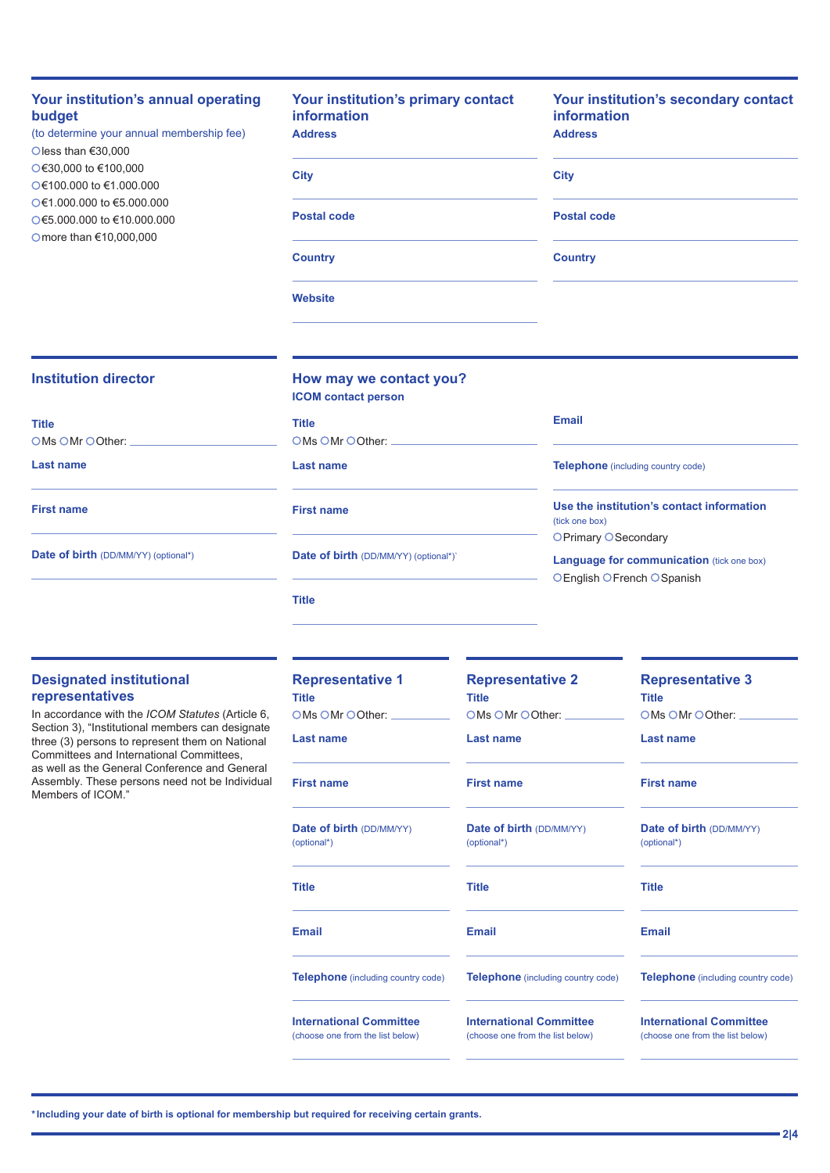# **Your institution's annual operating budget**

(to determine your annual membership fee) less than €30,000 €30,000 to €100,000  $Q \in 100.000$  to  $\in 1.000.000$ €1.000.000 to €5.000.000 €5.000.000 to €10.000.000 Omore than €10,000,000

# **Your institution's primary contact information Address City Postal code**

**Country**

**Website**

# **Your institution's secondary contact information Address**

| <b>City</b>        |  |  |  |
|--------------------|--|--|--|
|                    |  |  |  |
| <b>Postal code</b> |  |  |  |

**Country**

## **Institution director**

| <b>Title</b>      |  |
|-------------------|--|
| OMs OMr OOther:   |  |
| <b>Last name</b>  |  |
| <b>First name</b> |  |

# **How may we contact you?**

**ICOM contact person**

**Title**

OMs OMr OOther:

**Last name**

**First name**

**Date of birth** (DD/MM/YY) (optional\*)`

**Title**

# **Email**

**Telephone** (including country code)

**Use the institution's contact information**  (tick one box) OPrimary OSecondary

**Language for communication** (tick one box) OEnglish OFrench OSpanish

# **Designated institutional representatives**

**Date of birth** (DD/MM/YY) (optional\*)

In accordance with the *ICOM Statutes* (Article 6, Section 3), "Institutional members can designate three (3) persons to represent them on National Committees and International Committees, as well as the General Conference and General Assembly. These persons need not be Individual Members of ICOM."

| <b>Representative 1</b><br><b>Title</b>                            | <b>Representative 2</b><br><b>Title</b>                            | <b>Representative 3</b><br><b>Title</b><br>OMs OMr OOther:         |  |
|--------------------------------------------------------------------|--------------------------------------------------------------------|--------------------------------------------------------------------|--|
| OMs OMr OOther:                                                    | OMs OMr OOther:                                                    |                                                                    |  |
| Last name                                                          | Last name                                                          | Last name                                                          |  |
| <b>First name</b>                                                  | <b>First name</b>                                                  | <b>First name</b>                                                  |  |
| <b>Date of birth (DD/MM/YY)</b><br>(optional*)                     | <b>Date of birth (DD/MM/YY)</b><br>(optional*)                     | <b>Date of birth (DD/MM/YY)</b><br>(optional*)                     |  |
| <b>Title</b>                                                       | <b>Title</b>                                                       | <b>Title</b>                                                       |  |
| <b>Email</b>                                                       | <b>Email</b>                                                       | <b>Email</b>                                                       |  |
| <b>Telephone</b> (including country code)                          | <b>Telephone</b> (including country code)                          | <b>Telephone</b> (including country code)                          |  |
| <b>International Committee</b><br>(choose one from the list below) | <b>International Committee</b><br>(choose one from the list below) | <b>International Committee</b><br>(choose one from the list below) |  |

**\*Including your date of birth is optional for membership but required for receiving certain grants.**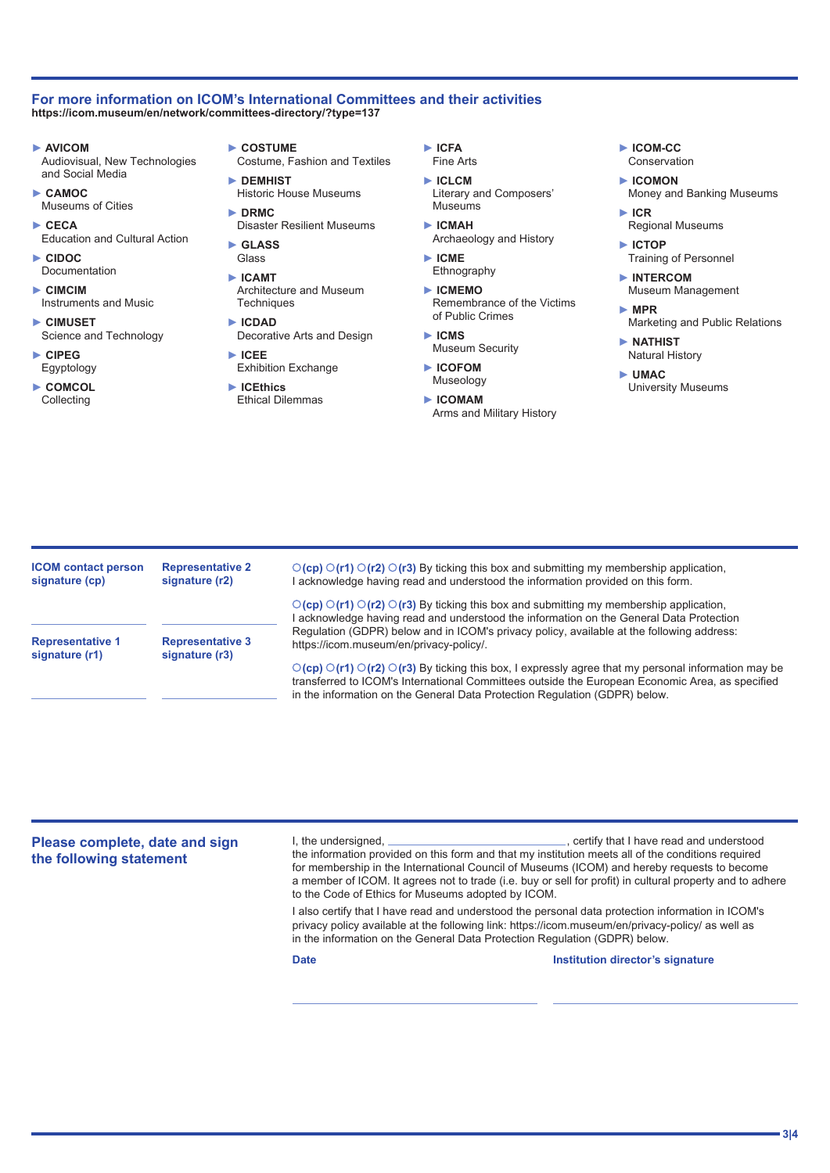#### **For more information on ICOM's International Committees and their activities <https://icom.museum/en/network/committees-directory/?type=137>**

**► AVICOM** 

Audiovisual, New Technologies and Social Media

- **► CAMOC**  Museums of Cities
- **► CECA**  Education and Cultural Action
- **► CIDOC**  Documentation
- **► CIMCIM**  Instruments and Music
- **► CIMUSET**  Science and Technology
- **► CIPEG**  Egyptology
- **► COMCOL Collecting**
- **► COSTUME**
- Costume, Fashion and Textiles
- **► DEMHIST**  Historic House Museums
- **► DRMC**  Disaster Resilient Museums
- **► GLASS**
- Glass **► ICAMT** 
	- Architecture and Museum **Techniques**
- **► ICDAD**  Decorative Arts and Design
- **► ICEE**  Exhibition Exchange
- **► ICEthics**
- Ethical Dilemmas
- **► ICFA**  Fine Arts
- **► ICLCM**  Literary and Composers' **Museums**
- **► ICMAH**  Archaeology and History
- **► ICME**  Ethnography
- **► ICMEMO**  Remembrance of the Victims of Public Crimes
- **► ICMS**  Museum Security
- **► ICOFOM**  Museology
- **► ICOMAM**  Arms and Military History
- **► ICOM-CC**  Conservation
- **► ICOMON**  Money and Banking Museums
- **► ICR**  Regional Museums
- **► ICTOP**  Training of Personnel
- **► INTERCOM**  Museum Management
- **► MPR**  Marketing and Public Relations
- **► NATHIST**  Natural History
- **► UMAC**  University Museums

**ICOM contact person signature (cp) Representative 1 signature (r1) Representative 2 signature (r2) Representative 3 signature (r3)** ○(cp) ○(r1) ○(r2) ○(r3) By ticking this box and submitting my membership application, I acknowledge having read and understood the information provided on this form. ○(cp) ○(r1) ○(r2) ○(r3) By ticking this box and submitting my membership application, I acknowledge having read and understood the information on the General Data Protection Regulation (GDPR) below and in ICOM's privacy policy, available at the following address: https://icom.museum/en/privacy-policy/. **(cp) (r1) (r2) (r3)** By ticking this box, I expressly agree that my personal information may be transferred to ICOM's International Committees outside the European Economic Area, as specified in the information on the General Data Protection Regulation (GDPR) below.

**Please complete, date and sign the following statement** I, the undersigned,  $\Box$ the information provided on this form and that my institution meets all of the conditions required for membership in the International Council of Museums (ICOM) and hereby requests to become a member of ICOM. It agrees not to trade (i.e. buy or sell for profit) in cultural property and to adhere to the Code of Ethics for Museums adopted by ICOM. I also certify that I have read and understood the personal data protection information in ICOM's privacy policy available at the following link: <https://icom.museum/en/privacy-policy/>as well as in the information on the General Data Protection Regulation (GDPR) below. **Date Institution director's signature**